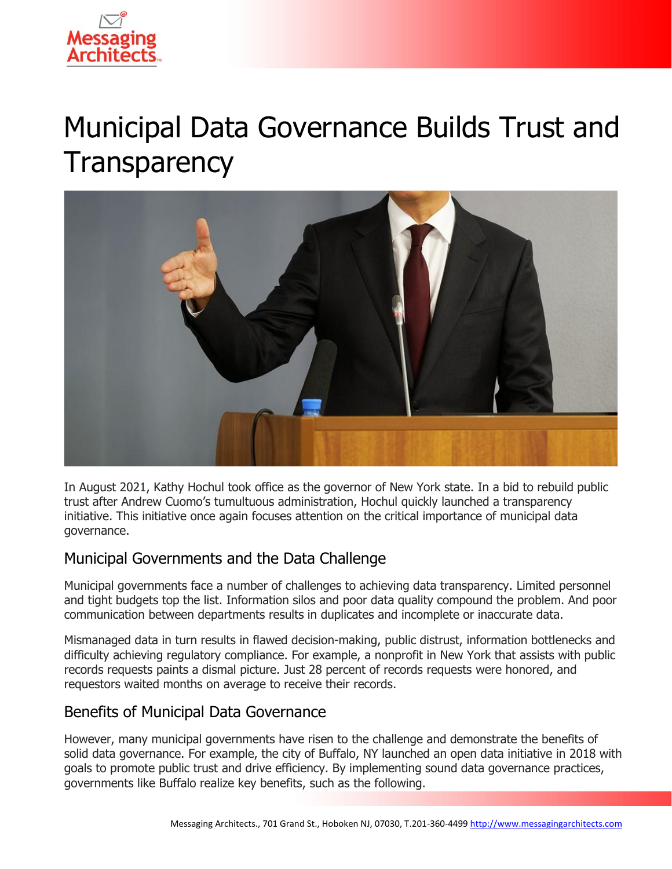

# Municipal Data Governance Builds Trust and **Transparency**



In August 2021, Kathy Hochul took office as the governor of New York state. In a bid to rebuild public trust after Andrew Cuomo's tumultuous administration, Hochul quickly launched a transparency initiative. This initiative once again focuses attention on the critical importance of municipal data governance.

## Municipal Governments and the Data Challenge

Municipal governments face a number of challenges to achieving data transparency. Limited personnel and tight budgets top the list. Information silos and poor data quality compound the problem. And poor communication between departments results in duplicates and incomplete or inaccurate data.

Mismanaged data in turn results in flawed decision-making, public distrust, information bottlenecks and difficulty achieving regulatory compliance. For example, a nonprofit in New York that assists with public records requests paints a dismal picture. Just 28 percent of records requests were honored, and requestors waited months on average to receive their records.

### Benefits of Municipal Data Governance

However, many municipal governments have risen to the challenge and demonstrate the benefits of solid data governance. For example, the city of Buffalo, NY launched an open data initiative in 2018 with goals to promote public trust and drive efficiency. By implementing sound data governance practices, governments like Buffalo realize key benefits, such as the following.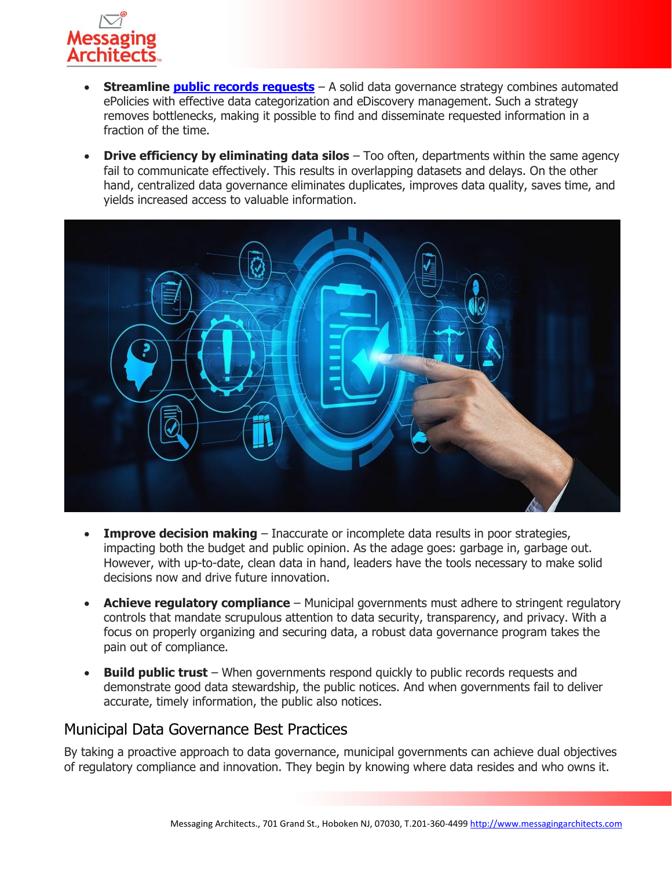

- **Streamline [public records requests](https://messagingarchitects.com/public-records-requests-ediscovery-best-practices/)** A solid data governance strategy combines automated ePolicies with effective data categorization and eDiscovery management. Such a strategy removes bottlenecks, making it possible to find and disseminate requested information in a fraction of the time.
- **Drive efficiency by eliminating data silos** Too often, departments within the same agency fail to communicate effectively. This results in overlapping datasets and delays. On the other hand, centralized data governance eliminates duplicates, improves data quality, saves time, and yields increased access to valuable information.



- **Improve decision making** Inaccurate or incomplete data results in poor strategies, impacting both the budget and public opinion. As the adage goes: garbage in, garbage out. However, with up-to-date, clean data in hand, leaders have the tools necessary to make solid decisions now and drive future innovation.
- **Achieve regulatory compliance** Municipal governments must adhere to stringent regulatory controls that mandate scrupulous attention to data security, transparency, and privacy. With a focus on properly organizing and securing data, a robust data governance program takes the pain out of compliance.
- **Build public trust** When governments respond quickly to public records requests and demonstrate good data stewardship, the public notices. And when governments fail to deliver accurate, timely information, the public also notices.

### Municipal Data Governance Best Practices

By taking a proactive approach to data governance, municipal governments can achieve dual objectives of regulatory compliance and innovation. They begin by knowing where data resides and who owns it.